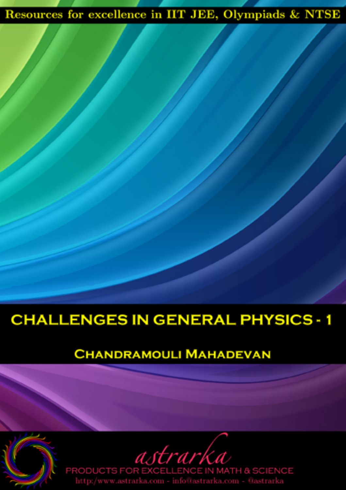## Resources for excellence in IIT JEE, Olympiads & NTSE

## **CHALLENGES IN GENERAL PHYSICS - 1**

#### **CHANDRAMOULI MAHADEVAN**

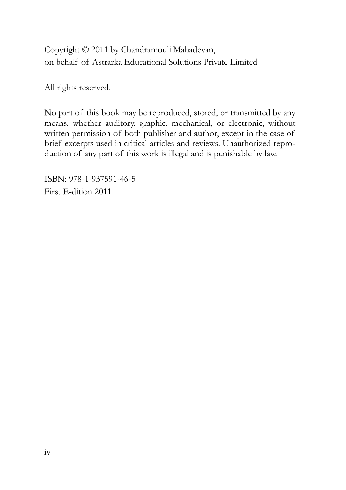Copyright © 2011 by Chandramouli Mahadevan, on behalf of Astrarka Educational Solutions Private Limited

All rights reserved.

No part of this book may be reproduced, stored, or transmitted by any means, whether auditory, graphic, mechanical, or electronic, without written permission of both publisher and author, except in the case of brief excerpts used in critical articles and reviews. Unauthorized reproduction of any part of this work is illegal and is punishable by law.

ISBN: 978-1-937591-46-5 First E-dition 2011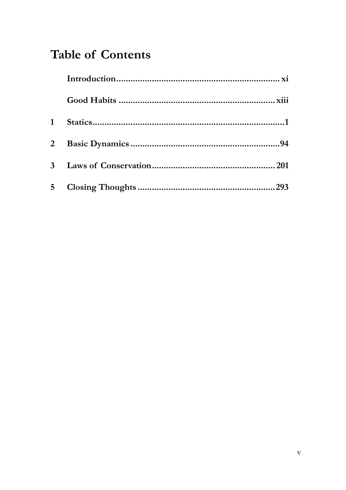## **Table of Contents**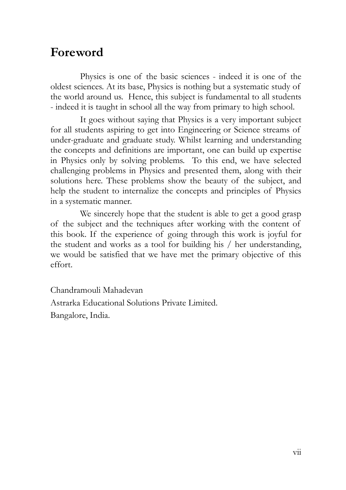#### **Foreword**

Physics is one of the basic sciences - indeed it is one of the oldest sciences. At its base, Physics is nothing but a systematic study of the world around us. Hence, this subject is fundamental to all students - indeed it is taught in school all the way from primary to high school.

It goes without saying that Physics is a very important subject for all students aspiring to get into Engineering or Science streams of under-graduate and graduate study. Whilst learning and understanding the concepts and definitions are important, one can build up expertise in Physics only by solving problems. To this end, we have selected challenging problems in Physics and presented them, along with their solutions here. These problems show the beauty of the subject, and help the student to internalize the concepts and principles of Physics in a systematic manner.

We sincerely hope that the student is able to get a good grasp of the subject and the techniques after working with the content of this book. If the experience of going through this work is joyful for the student and works as a tool for building his / her understanding, we would be satisfied that we have met the primary objective of this effort.

Chandramouli Mahadevan Astrarka Educational Solutions Private Limited. Bangalore, India.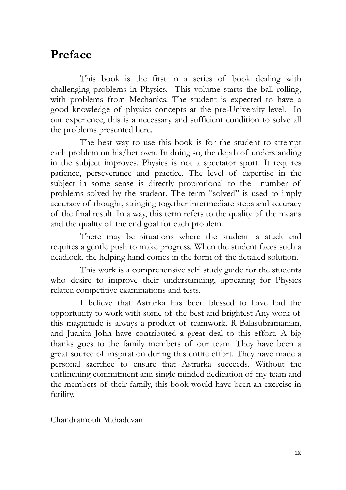#### **Preface**

This book is the first in a series of book dealing with challenging problems in Physics. This volume starts the ball rolling, with problems from Mechanics. The student is expected to have a good knowledge of physics concepts at the pre-University level. In our experience, this is a necessary and sufficient condition to solve all the problems presented here.

The best way to use this book is for the student to attempt each problem on his/her own. In doing so, the depth of understanding in the subject improves. Physics is not a spectator sport. It requires patience, perseverance and practice. The level of expertise in the subject in some sense is directly proprotional to the number of problems solved by the student. The term "solved" is used to imply accuracy of thought, stringing together intermediate steps and accuracy of the final result. In a way, this term refers to the quality of the means and the quality of the end goal for each problem.

There may be situations where the student is stuck and requires a gentle push to make progress. When the student faces such a deadlock, the helping hand comes in the form of the detailed solution.

This work is a comprehensive self study guide for the students who desire to improve their understanding, appearing for Physics related competitive examinations and tests.

I believe that Astrarka has been blessed to have had the opportunity to work with some of the best and brightest Any work of this magnitude is always a product of teamwork. R Balasubramanian, and Juanita John have contributed a great deal to this effort. A big thanks goes to the family members of our team. They have been a great source of inspiration during this entire effort. They have made a personal sacrifice to ensure that Astrarka succeeds. Without the unflinching commitment and single minded dedication of my team and the members of their family, this book would have been an exercise in futility.

Chandramouli Mahadevan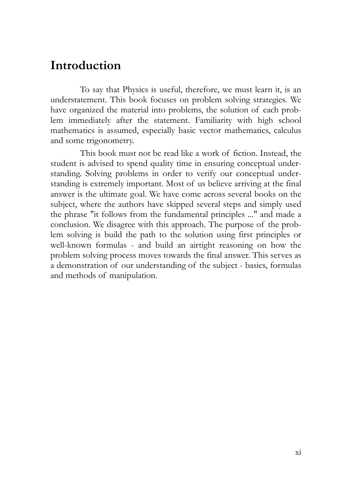#### **Introduction**

To say that Physics is useful, therefore, we must learn it, is an understatement. This book focuses on problem solving strategies. We have organized the material into problems, the solution of each problem immediately after the statement. Familiarity with high school mathematics is assumed, especially basic vector mathematics, calculus and some trigonometry.

This book must not be read like a work of fiction. Instead, the student is advised to spend quality time in ensuring conceptual understanding. Solving problems in order to verify our conceptual understanding is extremely important. Most of us believe arriving at the final answer is the ultimate goal. We have come across several books on the subject, where the authors have skipped several steps and simply used the phrase "it follows from the fundamental principles ..." and made a conclusion. We disagree with this approach. The purpose of the problem solving is build the path to the solution using first principles or well-known formulas - and build an airtight reasoning on how the problem solving process moves towards the final answer. This serves as a demonstration of our understanding of the subject - basics, formulas and methods of manipulation.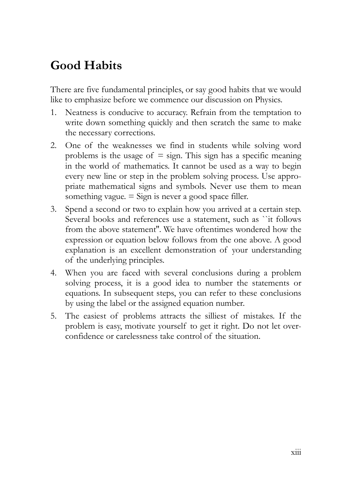### **Good Habits**

There are five fundamental principles, or say good habits that we would like to emphasize before we commence our discussion on Physics.

- 1. Neatness is conducive to accuracy. Refrain from the temptation to write down something quickly and then scratch the same to make the necessary corrections.
- 2. One of the weaknesses we find in students while solving word problems is the usage of  $=$  sign. This sign has a specific meaning in the world of mathematics. It cannot be used as a way to begin every new line or step in the problem solving process. Use appropriate mathematical signs and symbols. Never use them to mean something vague.  $=$  Sign is never a good space filler.
- 3. Spend a second or two to explain how you arrived at a certain step. Several books and references use a statement, such as ``it follows from the above statement''. We have oftentimes wondered how the expression or equation below follows from the one above. A good explanation is an excellent demonstration of your understanding of the underlying principles.
- 4. When you are faced with several conclusions during a problem solving process, it is a good idea to number the statements or equations. In subsequent steps, you can refer to these conclusions by using the label or the assigned equation number.
- 5. The easiest of problems attracts the silliest of mistakes. If the problem is easy, motivate yourself to get it right. Do not let overconfidence or carelessness take control of the situation.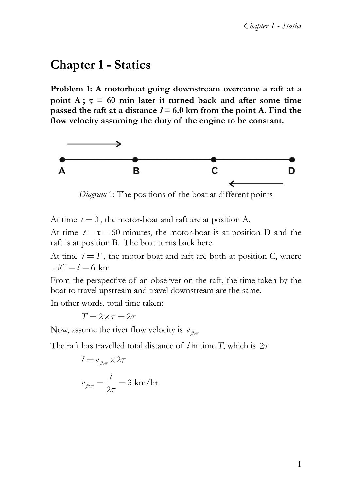### **Chapter 1 - Statics**

**Problem 1: A motorboat going downstream overcame a raft at a point A**;  $\tau = 60$  min later it turned back and after some time passed the raft at a distance  $l = 6.0$  km from the point A. Find the **flow velocity assuming the duty of the engine to be constant.**



*Diagram* 1: The positions of the boat at different points

At time  $t = 0$ , the motor-boat and raft are at position A.

At time  $t = \tau = 60$  minutes, the motor-boat is at position D and the raft is at position B. The boat turns back here.

At time  $t = T$ , the motor-boat and raft are both at position C, where  $AC = l = 6$  km

From the perspective of an observer on the raft, the time taken by the boat to travel upstream and travel downstream are the same.

In other words, total time taken:

 $T = 2 \times \tau = 2 \tau$ 

Now, assume the river flow velocity is  $v_{\text{flow}}$ 

The raft has travelled total distance of *l* in time *T*, which is 2

$$
l = v_{\text{flow}} \times 2\tau
$$

$$
v_{\text{flow}} = \frac{l}{2\tau} = 3 \text{ km/hr}
$$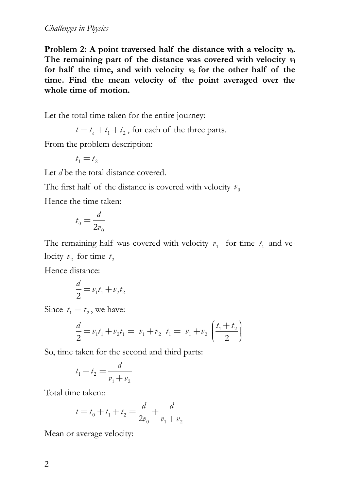Problem 2: A point traversed half the distance with a velocity  $v_0$ . The remaining part of the distance was covered with velocity  $v_1$ for half the time, and with velocity  $v_2$  for the other half of the **time. Find the mean velocity of the point averaged over the whole time of motion.**

Let the total time taken for the entire journey:

 $t = t_1 + t_1 + t_2$ , for each of the three parts.

From the problem description:

 $t_1 = t_2$ 

Let *d* be the total distance covered.

The first half of the distance is covered with velocity  $v_0$ 

Hence the time taken:

$$
t_{\scriptscriptstyle 0}=\frac{d}{2v_{\scriptscriptstyle 0}}
$$

The remaining half was covered with velocity  $v_1$  for time  $t_1$  and velocity  $v_2$  for time  $t_2$ 

Hence distance:

$$
\frac{d}{2} = v_1 t_1 + v_2 t_2
$$

Since  $t_1 = t_2$ , we have:

$$
= t_2, \text{ we have:}
$$
\n
$$
\frac{d}{2} = v_1 t_1 + v_2 t_1 = v_1 + v_2 \ t_1 = v_1 + v_2 \left( \frac{t_1 + t_2}{2} \right)
$$

So, time taken for the second and third parts:

$$
t_1 + t_2 = \frac{d}{v_1 + v_2}
$$

Total time taken::

$$
t = t_0 + t_1 + t_2 = \frac{d}{2v_0} + \frac{d}{v_1 + v_2}
$$

Mean or average velocity: